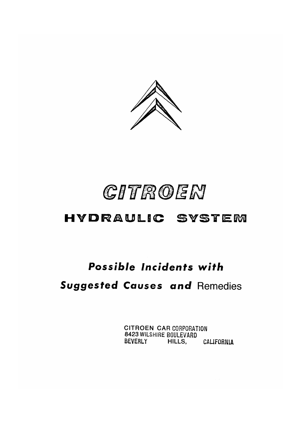

# CITROEN

## HYDRAULIC SYSTEM

## Possible Incidents with

## **Suggested Causes and Remedies**

**CITROEN CAR CORPORATION** 8423 WILSHIRE BOULEVARD BEVERLY HILLS, CALIFORNIA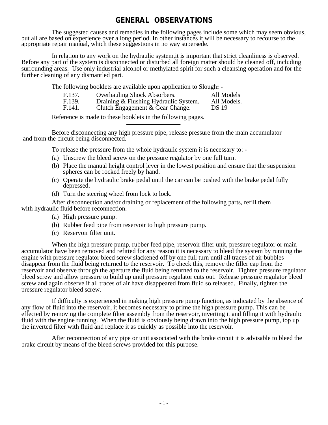### **GENERAL OBSERVATIONS**

The suggested causes and remedies in the following pages include some which may seem obvious, but all are based on experience over a long period. In other instances it will be necessary to recourse to the appropriate repair manual, which these suggestions in no way supersede.

In relation to any work on the hydraulic system, it is important that strict cleanliness is observed. Before any part of the system is disconnected or disturbed all foreign matter should be cleaned off, including surrounding areas. Use only industrial alcohol or methylated spirit for such a cleansing operation and for the further cleaning of any dismantled part.

The following booklets are available upon application to Slough**: -**

| F.137. | <b>Overhauling Shock Absorbers.</b>     | All Models         |
|--------|-----------------------------------------|--------------------|
| E 130  | Draining $\&$ Flushing Hydraulic System | $\Delta$ ll Models |

F.139. Draining & Flushing Hydraulic System. All Models.<br>F.141. Clutch Engagement & Gear Change. DS 19 Clutch Engagement  $& Gear Change.$ 

Reference is made to these booklets in the following pages.

Before disconnecting any high pressure pipe, release pressure from the main accumulator and from the circuit being disconnected.

To release the pressure from the whole hydraulic system it is necessary to: -

- (a) Unscrew the bleed screw on the pressure regulator by one full turn.
- (b) Place the manual height control lever in the lowest position and ensure that the suspension spheres can be rocked freely by hand.
- (c) Operate the hydraulic brake pedal until the car can be pushed with the brake pedal fully depressed.
- (d) Turn the steering wheel from lock to lock.

After disconnection and/or draining or replacement of the following parts, refill them

with hydraulic fluid before reconnection.

- (a) High pressure pump.
- (b) Rubber feed pipe from reservoir to high pressure pump.
- (c) Reservoir filter unit.

When the high pressure pump, rubber feed pipe, reservoir filter unit, pressure regulator or main accumulator have been removed and refitted for any reason it is necessary to bleed the system by running the engine with pressure regulator bleed screw slackened off by one full turn until all traces of air bubbles disappear from the fluid being returned to the reservoir. To check this, remove the filler cap from the reservoir and observe through the aperture the fluid being returned to the reservoir. Tighten pressure regulator bleed screw and allow pressure to build up until pressure regulator cuts out. Release pressure regulator bleed screw and again observe if all traces of air have disappeared from fluid so released. Finally, tighten the pressure regulator bleed screw.

If difficulty is experienced in making high pressure pump function, as indicated by the absence of any flow of fluid into the reservoir, it becomes necessary to prime the high pressure pump. This can be effected by removing the complete filter assembly from the reservoir, inverting it and filling it with hydraulic fluid with the engine running. When the fluid is obviously being drawn into the high pressure pump, top up the inverted filter with fluid and replace it as quickly as possible into the reservoir.

After reconnection of any pipe or unit associated with the brake circuit it is advisable to bleed the brake circuit by means of the bleed screws provided for this purpose.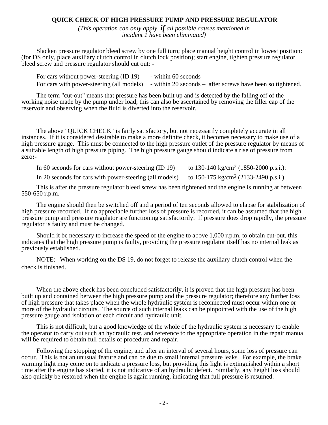### **QUICK CHECK OF HIGH PRESSURE PUMP AND PRESSURE REGULATOR**

*(This operation can only apply if all possible causes mentioned in incident 1 have been eliminated)*

Slacken pressure regulator bleed screw by one full turn; place manual height control in lowest position: (for DS only, place auxiliary clutch control in clutch lock position); start engine, tighten pressure regulator bleed screw and pressure regulator should cut out: -

For cars without power-steering  $(ID 19)$  - within 60 seconds – For cars with power-steering (all models) - within 20 seconds – after screws have been so tightened.

The term "cut-out" means that pressure has been built up and is detected by the falling off of the working noise made by the pump under load; this can also be ascertained by removing the filler cap of the reservoir and observing when the fluid is diverted into the reservoir.

The above "QUICK CHECK" is fairly satisfactory, but not necessarily completely accurate in all instances. If it is considered desirable to make a more definite check, it becomes necessary to make use of a high pressure gauge. This must be connected to the high pressure outlet of the pressure regulator by means of a suitable length of high pressure piping. The high pressure gauge should indicate a rise of pressure from zero**:-**

In 60 seconds for cars without power-steering (ID 19) to 130-140 kg/cm<sup>2</sup> (1850-2000 p.s.i.):

In 20 seconds for cars with power-steering (all models) to  $150-175 \text{ kg/cm}^2$  (2133-2490 p.s.i.)

This is after the pressure regulator bleed screw has been tightened and the engine is running at between 550-650 r.p.m.

The engine should then be switched off and a period of ten seconds allowed to elapse for stabilization of high pressure recorded. If no appreciable further loss of pressure is recorded, it can be assumed that the high pressure pump and pressure regulator are functioning satisfactorily. If pressure does drop rapidly, the pressure regulator is faulty and must be changed.

Should it be necessary to increase the speed of the engine to above 1,000 r.p.m. to obtain cut-out, this indicates that the high pressure pump is faulty, providing the pressure regulator itself has no internal leak as previously established.

NOTE: When working on the DS 19, do not forget to release the auxiliary clutch control when the check is finished.

When the above check has been concluded satisfactorily, it is proved that the high pressure has been built up and contained between the high pressure pump and the pressure regulator; therefore any further loss of high pressure that takes place when the whole hydraulic system is reconnected must occur within one or more of the hydraulic circuits. The source of such internal leaks can be pinpointed with the use of the high pressure gauge and isolation of each circuit and hydraulic unit.

This is not difficult, but a good knowledge of the whole of the hydraulic system is necessary to enable the operator to carry out such an hydraulic test, and reference to the appropriate operation in the repair manual will be required to obtain full details of procedure and repair.

Following the stopping of the engine, and after an interval of several hours, some loss of pressure can occur. This is not an unusual feature and can be due to small internal pressure leaks. For example, the brake warning light may come on to indicate a pressure loss, but providing this light is extinguished within a short time after the engine has started, it is not indicative of an hydraulic defect. Similarly, any height loss should also quickly be restored when the engine is again running, indicating that full pressure is resumed.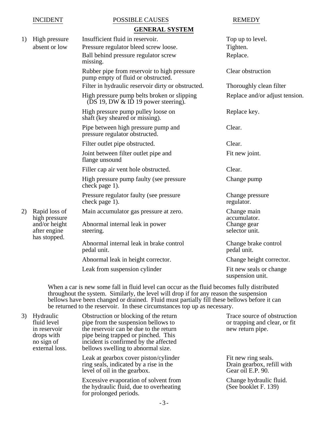#### INCIDENT POSSIBLE CAUSES REMEDY **GENERAL SYSTEM**

|    |                                               | GENEKAL Ə I Ə I EM                                                                   |                                             |
|----|-----------------------------------------------|--------------------------------------------------------------------------------------|---------------------------------------------|
| 1) | High pressure                                 | Insufficient fluid in reservoir.                                                     | Top up to level.                            |
|    | absent or low                                 | Pressure regulator bleed screw loose.                                                | Tighten.                                    |
|    |                                               | Ball behind pressure regulator screw<br>missing.                                     | Replace.                                    |
|    |                                               | Rubber pipe from reservoir to high pressure<br>pump empty of fluid or obstructed.    | Clear obstruction                           |
|    |                                               | Filter in hydraulic reservoir dirty or obstructed.                                   | Thoroughly clean filter                     |
|    |                                               | High pressure pump belts broken or slipping<br>(DS 19, DW $&$ ID 19 power steering). | Replace and/or adjust tension.              |
|    |                                               | High pressure pump pulley loose on<br>shaft (key sheared or missing).                | Replace key.                                |
|    |                                               | Pipe between high pressure pump and<br>pressure regulator obstructed.                | Clear.                                      |
|    |                                               | Filter outlet pipe obstructed.                                                       | Clear.                                      |
|    |                                               | Joint between filter outlet pipe and<br>flange unsound                               | Fit new joint.                              |
|    |                                               | Filler cap air vent hole obstructed.                                                 | Clear.                                      |
|    |                                               | High pressure pump faulty (see pressure<br>check page 1).                            | Change pump                                 |
|    |                                               | Pressure regulator faulty (see pressure<br>check page 1).                            | Change pressure<br>regulator.               |
| 2) | Rapid loss of<br>high pressure                | Main accumulator gas pressure at zero.                                               | Change main<br>accumulator.                 |
|    | and/or height<br>after engine<br>has stopped. | Abnormal internal leak in power<br>steering.                                         | Change gear<br>selector unit.               |
|    |                                               | Abnormal internal leak in brake control<br>pedal unit.                               | Change brake control<br>pedal unit.         |
|    |                                               | Abnormal leak in height corrector.                                                   | Change height corrector.                    |
|    |                                               | Leak from suspension cylinder                                                        | Fit new seals or change<br>suspension unit. |

When a car is new some fall in fluid level can occur as the fluid becomes fully distributed throughout the system. Similarly, the level will drop if for any reason the suspension bellows have been changed or drained. Fluid must partially fill these bellows before it can be returned to the reservoir. In these circumstances top up as necessary.

| 3) | Hydraulic<br>fluid level<br>in reservoir<br>drops with<br>no sign of<br>external loss. | Obstruction or blocking of the return<br>pipe from the suspension bellows to<br>the reservoir can be due to the return<br>pipe being trapped or pinched. This<br>incident is confirmed by the affected<br>bellows swelling to abnormal size. | Trace source of obstruction<br>or trapping and clear, or fit<br>new return pipe. |
|----|----------------------------------------------------------------------------------------|----------------------------------------------------------------------------------------------------------------------------------------------------------------------------------------------------------------------------------------------|----------------------------------------------------------------------------------|
|    |                                                                                        | Leak at gearbox cover piston/cylinder<br>ring seals, indicated by a rise in the<br>level of oil in the gearbox.                                                                                                                              | Fit new ring seals.<br>Drain gearbox, refill with<br>Gear oil E.P. 90.           |
|    |                                                                                        | $\mathcal{C}$ and $\mathcal{C}$ and $\mathcal{C}$ and $\mathcal{C}$                                                                                                                                                                          | $\sim$ 1 1 1 $\sim$ 1                                                            |

Excessive evaporation of solvent from Change hydraulic fluid.<br>
the hydraulic fluid, due to overheating (See booklet F. 139) the hydraulic fluid, due to overheating for prolonged periods.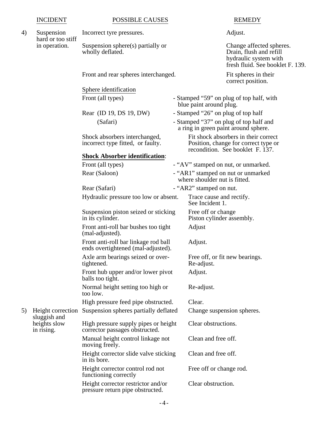#### INCIDENT POSSIBLE CAUSES REMEDY

### 4) Suspension Incorrect tyre pressures. Adjust. hard or too stiff

in operation. Suspension sphere(s) partially or Change affected spheres.<br>wholly deflated. Drain, flush and refill

Front and rear spheres interchanged. Fit spheres in their

Sphere identification

#### **Shock Absorber identification**:

Front (all types)  $-$  "AV" stamped on nut, or unmarked. Rear (Saloon) - "AR1" stamped on nut or unmarked Rear (Safari) - "AR2" stamped on nut. Hydraulic pressure too low or absent. Trace cause and rectify. Suspension piston seized or sticking Free off or change<br>in its cylinder. Piston cylinder ass Front anti-roll bar bushes too tight Adjust (mal-adjusted). Front anti-roll bar linkage rod ball Adjust. ends overtightened (mal-adjusted). Axle arm bearings seized or over-<br>Free off, or fit new bearings. tightened. Re-adjust. Front hub upper and/or lower pivot Adjust. balls too tight. Normal height setting too high or Re-adjust. too low. High pressure feed pipe obstructed. Clear. 5) Height correction Suspension spheres partially deflated Change suspension spheres. sluggish and heights slow High pressure supply pipes or height Clear obstructions. in rising. corrector passages obstructed.

Manual height control linkage not Clean and free off. moving freely.

Height corrector slide valve sticking Clean and free off.

in its bore. Height corrector control rod not Free off or change rod. functioning correctly

Height corrector restrictor and/or Clear obstruction. pressure return pipe obstructed.

Drain, flush and refill hydraulic system with fresh fluid. See booklet F. 139.

correct position.

- Front (all types) Stamped "59" on plug of top half, with blue paint around plug.
- Rear (ID 19, DS 19, DW) Stamped "26" on plug of top half
- (Safari) Stamped "37" on plug of top half and a ring in green paint around sphere. Shock absorbers interchanged, Fit shock absorbers in their correct incorrect type fitted, or faulty. Position, change for correct type or

recondition. See booklet F. 137.

- 
- where shoulder nut is fitted.
- 

See Incident 1.

Piston cylinder assembly.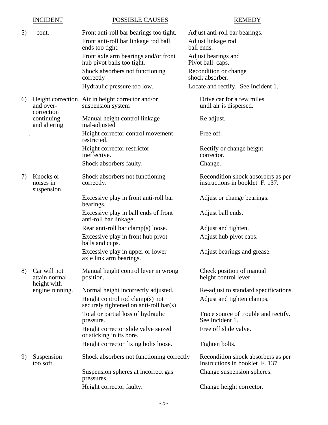|    | <b>INCIDENT</b>                              | POSSIBLE CAUSES                                                                                    | <b>REMEDY</b>                                                         |
|----|----------------------------------------------|----------------------------------------------------------------------------------------------------|-----------------------------------------------------------------------|
| 5) | cont.                                        | Front anti-roll bar bearings too tight.<br>Front anti-roll bar linkage rod ball<br>ends too tight. | Adjust anti-roll bar bearings.<br>Adjust linkage rod<br>ball ends.    |
|    |                                              | Front axle arm bearings and/or front<br>hub pivot balls too tight.                                 | Adjust bearings and<br>Pivot ball caps.                               |
|    |                                              | Shock absorbers not functioning<br>correctly                                                       | Recondition or change<br>shock absorber.                              |
|    |                                              | Hydraulic pressure too low.                                                                        | Locate and rectify. See Incident 1.                                   |
| 6) | and over-<br>correction                      | Height correction Air in height corrector and/or<br>suspension system                              | Drive car for a few miles<br>until air is dispersed.                  |
|    | continuing<br>and altering                   | Manual height control linkage<br>mal-adjusted                                                      | Re adjust.                                                            |
|    |                                              | Height corrector control movement<br>restricted.                                                   | Free off.                                                             |
|    |                                              | Height corrector restrictor<br>ineffective.                                                        | Rectify or change height<br>corrector.                                |
|    |                                              | Shock absorbers faulty.                                                                            | Change.                                                               |
| 7) | Knocks or<br>noises in<br>suspension.        | Shock absorbers not functioning<br>correctly.                                                      | Recondition shock absorbers as per<br>instructions in booklet F. 137. |
|    |                                              | Excessive play in front anti-roll bar<br>bearings.                                                 | Adjust or change bearings.                                            |
|    |                                              | Excessive play in ball ends of front<br>anti-roll bar linkage.                                     | Adjust ball ends.                                                     |
|    |                                              | Rear anti-roll bar clamp(s) loose.                                                                 | Adjust and tighten.                                                   |
|    |                                              | Excessive play in front hub pivot<br>balls and cups.                                               | Adjust hub pivot caps.                                                |
|    |                                              | Excessive play in upper or lower<br>axle link arm bearings.                                        | Adjust bearings and grease.                                           |
| 8) | Car will not<br>attain normal<br>height with | Manual height control lever in wrong<br>position.                                                  | Check position of manual<br>height control lever                      |
|    | engine running.                              | Normal height incorrectly adjusted.                                                                | Re-adjust to standard specifications.                                 |
|    |                                              | Height control rod clamp(s) not<br>securely tightened on anti-roll bar(s)                          | Adjust and tighten clamps.                                            |
|    |                                              | Total or partial loss of hydraulic<br>pressure.                                                    | Trace source of trouble and rectify.<br>See Incident 1.               |
|    |                                              | Height corrector slide valve seized<br>or sticking in its bore.                                    | Free off slide valve.                                                 |
|    |                                              | Height corrector fixing bolts loose.                                                               | Tighten bolts.                                                        |
| 9) | Suspension<br>too soft.                      | Shock absorbers not functioning correctly                                                          | Recondition shock absorbers as per<br>Instructions in booklet F. 137. |
|    |                                              | Suspension spheres at incorrect gas<br>pressures.                                                  | Change suspension spheres.                                            |
|    |                                              | Height corrector faulty.                                                                           | Change height corrector.                                              |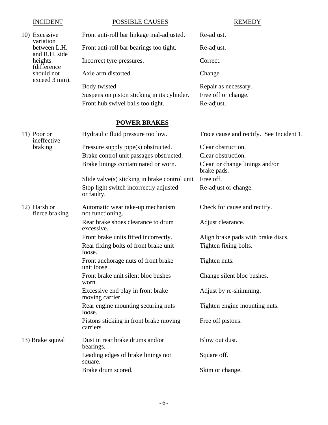### INCIDENT POSSIBLE CAUSES REMEDY 10) Excessive Front anti-roll bar linkage mal-adjusted. Re-adjust. variation<br>between L.H. Front anti-roll bar bearings too tight. Re-adjust. and R.H. side heights Incorrect tyre pressures. Correct. (difference Axle arm distorted Change exceed 3 mm). Body twisted Repair as necessary. Suspension piston sticking in its cylinder. Free off or change. Front hub swivel balls too tight. Re-adjust. **POWER BRAKES** 11) Poor or Hydraulic fluid pressure too low. Trace cause and rectify. See Incident 1. ineffective braking Pressure supply pipe(s) obstructed. Clear obstruction. Brake control unit passages obstructed. Clear obstruction. Brake linings contaminated or worn. Clean or change linings and/or brake pads. Slide valve $(s)$  sticking in brake control unit Free off. Stop light switch incorrectly adjusted Re-adjust or change. or faulty. 12) Harsh or Automatic wear take-up mechanism Check for cause and rectify. fierce braking not functioning. Rear brake shoes clearance to drum Adjust clearance. excessive. Front brake units fitted incorrectly. Align brake pads with brake discs. Rear fixing bolts of front brake unit Tighten fixing bolts. loose. Front anchorage nuts of front brake Tighten nuts. unit loose. Front brake unit silent bloc bushes Change silent bloc bushes. worn. Excessive end play in front brake Adjust by re-shimming. moving carrier. Rear engine mounting securing nuts Tighten engine mounting nuts. loose. Pistons sticking in front brake moving Free off pistons. carriers. 13) Brake squeal Dust in rear brake drums and/or Blow out dust.

bearings. Leading edges of brake linings not Square off. square. Brake drum scored. Skim or change.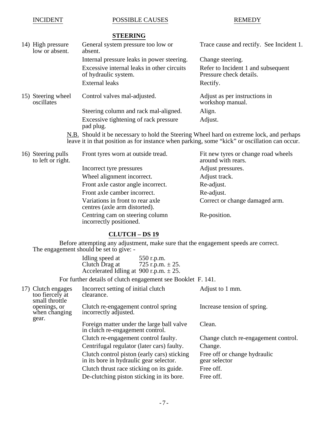#### INCIDENT POSSIBLE CAUSES REMEDY

### **STEERING**

| 14) High pressure<br>low or absent. | General system pressure too low or<br>absent.                                                                                                                                                                                                                                                             | Trace cause and rectify. See Incident 1.                      |
|-------------------------------------|-----------------------------------------------------------------------------------------------------------------------------------------------------------------------------------------------------------------------------------------------------------------------------------------------------------|---------------------------------------------------------------|
|                                     | Internal pressure leaks in power steering.                                                                                                                                                                                                                                                                | Change steering.                                              |
|                                     | Excessive internal leaks in other circuits<br>of hydraulic system.                                                                                                                                                                                                                                        | Refer to Incident 1 and subsequent<br>Pressure check details. |
|                                     | <b>External leaks</b>                                                                                                                                                                                                                                                                                     | Rectify.                                                      |
| 15) Steering wheel<br>oscillates    | Control valves mal-adjusted.                                                                                                                                                                                                                                                                              | Adjust as per instructions in<br>workshop manual.             |
|                                     | Steering column and rack mal-aligned.                                                                                                                                                                                                                                                                     | Align.                                                        |
|                                     | Excessive tightening of rack pressure<br>pad plug.                                                                                                                                                                                                                                                        | Adjust.                                                       |
|                                     | $\sim$ 1 1 1 $\sim$ 1 $\sim$ 1 $\sim$ 1 $\sim$ 1 $\sim$ 1 $\sim$ 1 $\sim$ 1 $\sim$ 1 $\sim$ 1 $\sim$ 1 $\sim$ 1 $\sim$ 1 $\sim$ 1 $\sim$ 1 $\sim$ 1 $\sim$ 1 $\sim$ 1 $\sim$ 1 $\sim$ 1 $\sim$ 1 $\sim$ 1 $\sim$ 1 $\sim$ 1 $\sim$ 1 $\sim$ 1 $\sim$ 1 $\sim$ 1 $\sim$ 1 $\sim$ 1 $\sim$ 1<br>$\sim$ 11.1 | <b>TTIII</b> I                                                |

N.B. Should it be necessary to hold the Steering Wheel hard on extreme lock, and perhaps leave it in that position as for instance when parking, some "kick" or oscillation can occur.

| 16) Steering pulls<br>to left or right. | Front tyres worn at outside tread.                                | Fit new tyres or change road wheels<br>around with rears. |
|-----------------------------------------|-------------------------------------------------------------------|-----------------------------------------------------------|
|                                         | Incorrect tyre pressures                                          | Adjust pressures.                                         |
|                                         | Wheel alignment incorrect.                                        | Adjust track.                                             |
|                                         | Front axle castor angle incorrect.                                | Re-adjust.                                                |
|                                         | Front axle camber incorrect.                                      | Re-adjust.                                                |
|                                         | Variations in front to rear axle<br>centres (axle arm distorted). | Correct or change damaged arm.                            |
|                                         | Centring cam on steering column<br>incorrectly positioned.        | Re-position.                                              |

### **CLUTCH – DS 19**

Before attempting any adjustment, make sure that the engagement speeds are correct. The engagement should be set to give: -

| Idling speed at                               | 550 r.p.m.           |
|-----------------------------------------------|----------------------|
| Clutch Drag at                                | 725 r.p.m. $\pm$ 25. |
| Accelerated Idling at $900$ r.p.m. $\pm 25$ . |                      |

For further details of clutch engagement see Booklet F. 141.

| 17) Clutch engages<br>too fiercely at<br>small throttle | Incorrect setting of initial clutch<br>clearance.                                      | Adjust to 1 mm.                               |
|---------------------------------------------------------|----------------------------------------------------------------------------------------|-----------------------------------------------|
| openings, or<br>when changing<br>gear.                  | Clutch re-engagement control spring<br>incorrectly adjusted.                           | Increase tension of spring.                   |
|                                                         | Foreign matter under the large ball valve<br>in clutch re-engagement control.          | Clean.                                        |
|                                                         | Clutch re-engagement control faulty.                                                   | Change clutch re-engagement control.          |
|                                                         | Centrifugal regulator (later cars) faulty.                                             | Change.                                       |
|                                                         | Clutch control piston (early cars) sticking<br>in its bore in hydraulic gear selector. | Free off or change hydraulic<br>gear selector |
|                                                         | Clutch thrust race sticking on its guide.                                              | Free off.                                     |
|                                                         | De-clutching piston sticking in its bore.                                              | Free off.                                     |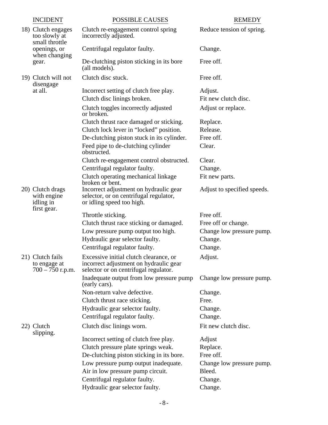| <b>INCIDENT</b>                                             | <b>POSSIBLE CAUSES</b>                                                                                                    | <b>REMEDY</b>               |
|-------------------------------------------------------------|---------------------------------------------------------------------------------------------------------------------------|-----------------------------|
| 18) Clutch engages<br>too slowly at<br>small throttle       | Clutch re-engagement control spring<br>incorrectly adjusted.                                                              | Reduce tension of spring.   |
| openings, or<br>when changing                               | Centrifugal regulator faulty.                                                                                             | Change.                     |
| gear.                                                       | De-clutching piston sticking in its bore<br>(all models).                                                                 | Free off.                   |
| 19) Clutch will not<br>disengage                            | Clutch disc stuck.                                                                                                        | Free off.                   |
| at all.                                                     | Incorrect setting of clutch free play.                                                                                    | Adjust.                     |
|                                                             | Clutch disc linings broken.                                                                                               | Fit new clutch disc.        |
|                                                             | Clutch toggles incorrectly adjusted<br>or broken.                                                                         | Adjust or replace.          |
|                                                             | Clutch thrust race damaged or sticking.                                                                                   | Replace.                    |
|                                                             | Clutch lock lever in "locked" position.                                                                                   | Release.                    |
|                                                             | De-clutching piston stuck in its cylinder.                                                                                | Free off.                   |
|                                                             | Feed pipe to de-clutching cylinder<br>obstructed.                                                                         | Clear.                      |
|                                                             | Clutch re-engagement control obstructed.                                                                                  | Clear.                      |
|                                                             | Centrifugal regulator faulty.                                                                                             | Change.                     |
|                                                             | Clutch operating mechanical linkage<br>broken or bent.                                                                    | Fit new parts.              |
| 20) Clutch drags<br>with engine<br>idling in<br>first gear. | Incorrect adjustment on hydraulic gear<br>selector, or on centrifugal regulator,<br>or idling speed too high.             | Adjust to specified speeds. |
|                                                             | Throttle sticking.                                                                                                        | Free off.                   |
|                                                             | Clutch thrust race sticking or damaged.                                                                                   | Free off or change.         |
|                                                             | Low pressure pump output too high.                                                                                        | Change low pressure pump.   |
|                                                             | Hydraulic gear selector faulty.                                                                                           | Change.                     |
|                                                             | Centrifugal regulator faulty.                                                                                             | Change.                     |
| 21) Clutch fails<br>to engage at<br>$700 - 750$ r.p.m.      | Excessive initial clutch clearance, or<br>incorrect adjustment on hydraulic gear<br>selector or on centrifugal regulator. | Adjust.                     |
|                                                             | Inadequate output from low pressure pump<br>(early cars).                                                                 | Change low pressure pump.   |
|                                                             | Non-return valve defective.                                                                                               | Change.                     |
|                                                             | Clutch thrust race sticking.                                                                                              | Free.                       |
|                                                             | Hydraulic gear selector faulty.                                                                                           | Change.                     |
|                                                             | Centrifugal regulator faulty.                                                                                             | Change.                     |
| 22) Clutch<br>slipping.                                     | Clutch disc linings worn.                                                                                                 | Fit new clutch disc.        |
|                                                             | Incorrect setting of clutch free play.                                                                                    | Adjust                      |
|                                                             | Clutch pressure plate springs weak.                                                                                       | Replace.                    |
|                                                             | De-clutching piston sticking in its bore.                                                                                 | Free off.                   |
|                                                             | Low pressure pump output inadequate.                                                                                      | Change low pressure pump.   |
|                                                             | Air in low pressure pump circuit.                                                                                         | Bleed.                      |
|                                                             | Centrifugal regulator faulty.                                                                                             | Change.                     |
|                                                             | Hydraulic gear selector faulty.                                                                                           | Change.                     |